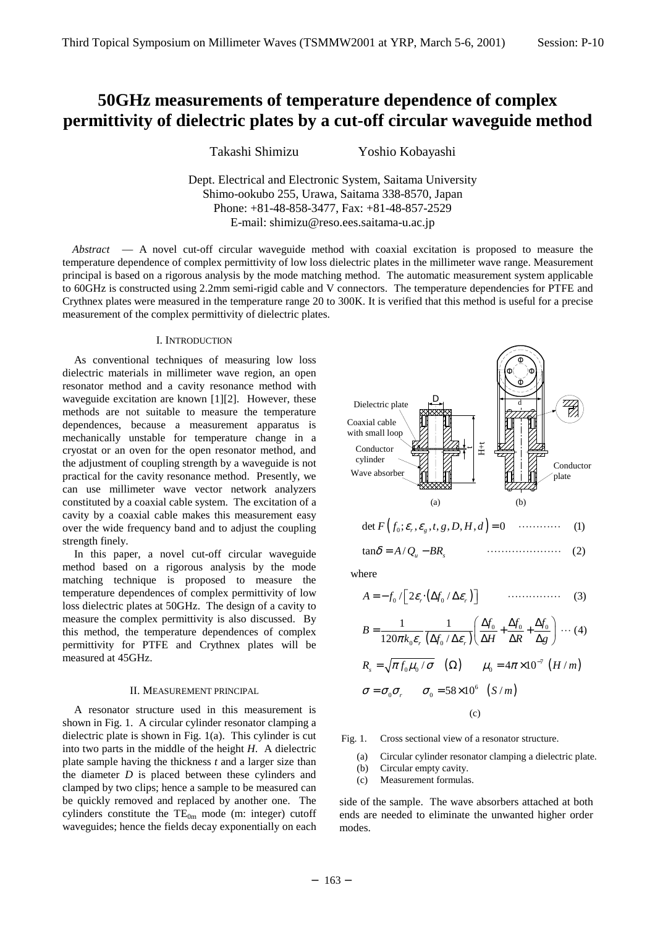Takashi Shimizu Yoshio Kobayashi

Dept. Electrical and Electronic System, Saitama University Shimo-ookubo 255, Urawa, Saitama 338-8570, Japan Phone: +81-48-858-3477, Fax: +81-48-857-2529 E-mail: shimizu@reso.ees.saitama-u.ac.jp

*Abstract* — A novel cut-off circular waveguide method with coaxial excitation is proposed to measure the temperature dependence of complex permittivity of low loss dielectric plates in the millimeter wave range. Measurement principal is based on a rigorous analysis by the mode matching method. The automatic measurement system applicable to 60GHz is constructed using 2.2mm semi-rigid cable and V connectors. The temperature dependencies for PTFE and Crythnex plates were measured in the temperature range 20 to 300K. It is verified that this method is useful for a precise measurement of the complex permittivity of dielectric plates.

### I. INTRODUCTION

As conventional techniques of measuring low loss dielectric materials in millimeter wave region, an open resonator method and a cavity resonance method with waveguide excitation are known [1][2]. However, these methods are not suitable to measure the temperature dependences, because a measurement apparatus is mechanically unstable for temperature change in a cryostat or an oven for the open resonator method, and the adjustment of coupling strength by a waveguide is not practical for the cavity resonance method. Presently, we can use millimeter wave vector network analyzers constituted by a coaxial cable system. The excitation of a cavity by a coaxial cable makes this measurement easy over the wide frequency band and to adjust the coupling strength finely.

In this paper, a novel cut-off circular waveguide method based on a rigorous analysis by the mode matching technique is proposed to measure the temperature dependences of complex permittivity of low loss dielectric plates at 50GHz. The design of a cavity to measure the complex permittivity is also discussed. By this method, the temperature dependences of complex permittivity for PTFE and Crythnex plates will be measured at 45GHz.

#### II. MEASUREMENT PRINCIPAL

A resonator structure used in this measurement is shown in Fig. 1. A circular cylinder resonator clamping a dielectric plate is shown in Fig. 1(a). This cylinder is cut into two parts in the middle of the height *H*. A dielectric plate sample having the thickness *t* and a larger size than the diameter *D* is placed between these cylinders and clamped by two clips; hence a sample to be measured can be quickly removed and replaced by another one. The cylinders constitute the  $TE_{0m}$  mode (m: integer) cutoff waveguides; hence the fields decay exponentially on each



$$
\det F(f_0; \mathcal{E}_r, \mathcal{E}_g, t, g, D, H, d) = 0 \quad \cdots \cdots \cdots \quad (1)
$$

$$
\tan \delta = A/Q_u - BR_s \qquad \qquad \cdots \cdots \cdots \cdots \cdots \qquad (2)
$$

where

$$
A = -f_0 / \left[2\varepsilon_r \left(\Delta f_0 / \Delta \varepsilon_r\right)\right] \qquad \qquad (3)
$$

$$
B = \frac{1}{120\pi k_0 \varepsilon_r} \frac{1}{(\Delta f_0 / \Delta \varepsilon_r)} \left( \frac{\Delta f_0}{\Delta H} + \frac{\Delta f_0}{\Delta R} + \frac{\Delta f_0}{\Delta g} \right) \cdots (4)
$$
  

$$
R_s = \sqrt{\pi f_0 \mu_0 / \sigma} \quad (\Omega) \qquad \mu_0 = 4\pi \times 10^{-7} \quad (H/m)
$$
  

$$
\sigma = \sigma_0 \sigma_r \qquad \sigma_0 = 58 \times 10^6 \quad (S/m)
$$

 $(c)$ 

Fig. 1. Cross sectional view of a resonator structure.

- (a) Circular cylinder resonator clamping a dielectric plate.
- (b) Circular empty cavity.
- (c) Measurement formulas.

side of the sample. The wave absorbers attached at both ends are needed to eliminate the unwanted higher order modes.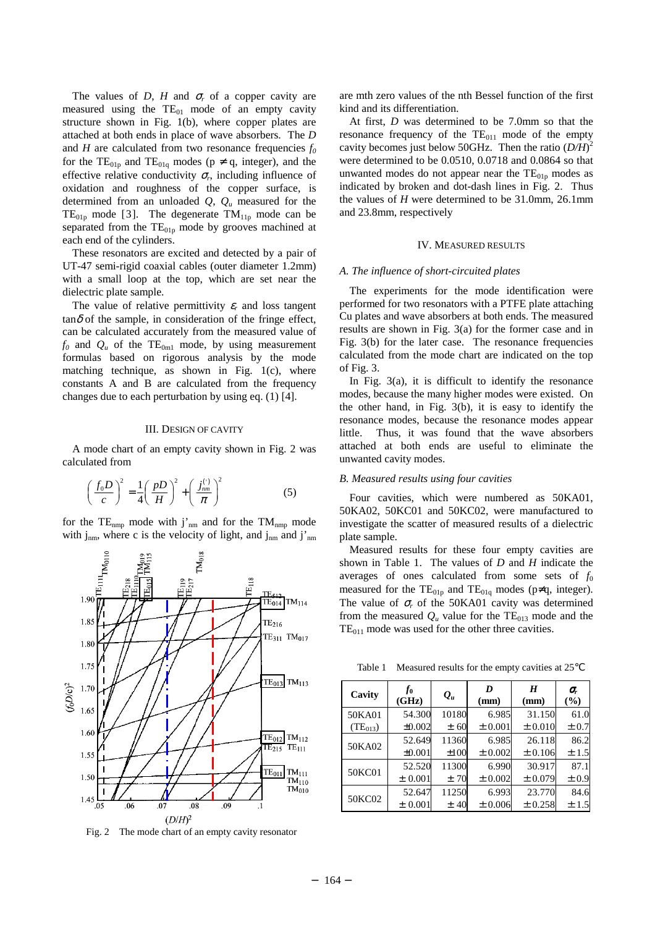The values of *D*, *H* and  $\sigma_r$  of a copper cavity are measured using the  $TE_{01}$  mode of an empty cavity structure shown in Fig. 1(b), where copper plates are attached at both ends in place of wave absorbers. The *D* and *H* are calculated from two resonance frequencies  $f_0$ for the TE<sub>01p</sub> and TE<sub>01q</sub> modes ( $p \neq q$ , integer), and the effective relative conductivity  $\sigma_r$ , including influence of oxidation and roughness of the copper surface, is determined from an unloaded *Q*, *Qu* measured for the  $TE_{01p}$  mode [3]. The degenerate  $TM_{11p}$  mode can be separated from the  $TE<sub>01p</sub>$  mode by grooves machined at each end of the cylinders.

These resonators are excited and detected by a pair of UT-47 semi-rigid coaxial cables (outer diameter 1.2mm) with a small loop at the top, which are set near the dielectric plate sample.

The value of relative permittivity  $\varepsilon_r$  and loss tangent  $tan \delta$  of the sample, in consideration of the fringe effect, can be calculated accurately from the measured value of  $f_0$  and  $Q_u$  of the TE<sub>0m1</sub> mode, by using measurement formulas based on rigorous analysis by the mode matching technique, as shown in Fig. 1(c), where constants A and B are calculated from the frequency changes due to each perturbation by using eq. (1) [4].

### III. DESIGN OF CAVITY

A mode chart of an empty cavity shown in Fig. 2 was calculated from

$$
\left(\frac{f_0 D}{c}\right)^2 = \frac{1}{4} \left(\frac{p D}{H}\right)^2 + \left(\frac{j_{mn}^{(1)}}{\pi}\right)^2 \tag{5}
$$

for the  $TE_{nmp}$  mode with j'<sub>nm</sub> and for the  $TM_{nmp}$  mode with  $j_{nm}$ , where c is the velocity of light, and  $j_{nm}$  and  $j'_{nm}$ 



Fig. 2 The mode chart of an empty cavity resonator

are mth zero values of the nth Bessel function of the first kind and its differentiation.

At first, *D* was determined to be 7.0mm so that the resonance frequency of the  $TE_{011}$  mode of the empty cavity becomes just below 50GHz. Then the ratio (*D/H*) 2 were determined to be 0.0510, 0.0718 and 0.0864 so that unwanted modes do not appear near the  $TE<sub>01p</sub>$  modes as indicated by broken and dot-dash lines in Fig. 2. Thus the values of *H* were determined to be 31.0mm, 26.1mm and 23.8mm, respectively

### IV. MEASURED RESULTS

### *A. The influence of short-circuited plates*

The experiments for the mode identification were performed for two resonators with a PTFE plate attaching Cu plates and wave absorbers at both ends. The measured results are shown in Fig. 3(a) for the former case and in Fig. 3(b) for the later case. The resonance frequencies calculated from the mode chart are indicated on the top of Fig. 3.

In Fig.  $3(a)$ , it is difficult to identify the resonance modes, because the many higher modes were existed. On the other hand, in Fig. 3(b), it is easy to identify the resonance modes, because the resonance modes appear little. Thus, it was found that the wave absorbers attached at both ends are useful to eliminate the unwanted cavity modes.

### *B. Measured results using four cavities*

Four cavities, which were numbered as 50KA01, 50KA02, 50KC01 and 50KC02, were manufactured to investigate the scatter of measured results of a dielectric plate sample.

Measured results for these four empty cavities are shown in Table 1. The values of *D* and *H* indicate the averages of ones calculated from some sets of  $f_0$ measured for the  $TE_{01p}$  and  $TE_{01q}$  modes (p≠q, integer). The value of  $\sigma_r$  of the 50KA01 cavity was determined from the measured  $Q_u$  value for the  $TE_{013}$  mode and the  $TE<sub>011</sub>$  mode was used for the other three cavities.

Table 1 Measured results for the empty cavities at 25

| Cavity       | $f_{0}$<br>(GHz) | $\mathcal{Q}_u$ | D<br>(mm)   | H<br>(mm)   | σ,<br>(%) |
|--------------|------------------|-----------------|-------------|-------------|-----------|
| 50KA01       | 54.300           | 10180           | 6.985       | 31.150      | 61.0      |
| $(TE_{013})$ | ±0.002           | ± 60            | $\pm 0.001$ | $\pm 0.010$ | $\pm 0.7$ |
| 50KA02       | 52.649           | 11360           | 6.985       | 26.118      | 86.2      |
|              | ±0.001           | $\pm 100$       | $\pm 0.002$ | ± 0.106     | ±1.5      |
| 50KC01       | 52.520           | 11300           | 6.990       | 30.917      | 87.1      |
|              | ± 0.001          | ±70             | $\pm 0.002$ | ±0.079      | $\pm 0.9$ |
| 50KC02       | 52.647           | 11250           | 6.993       | 23.770      | 84.6      |
|              | ± 0.001          | ± 40            | ±0.006      | ±0.258      | ±1.5      |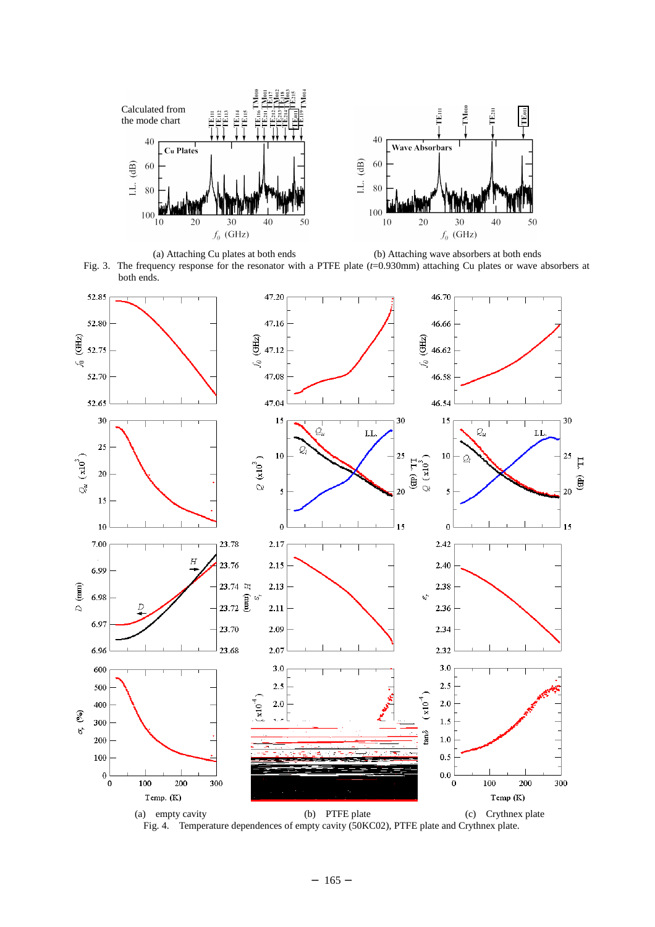





Fig. 4. Temperature dependences of empty cavity (50KC02), PTFE plate and Crythnex plate.